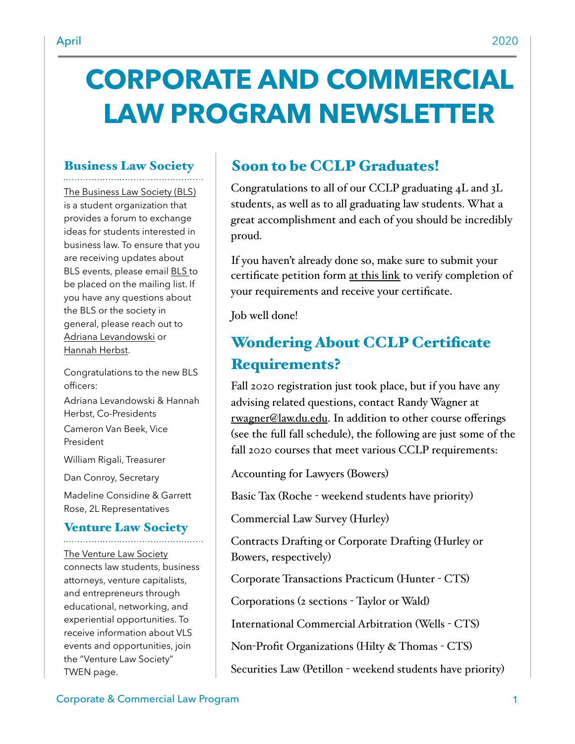# **CORPORATE AND COMMERCIAL LAW PROGRAM NEWSLETTER**

### Business Law Society

[The Business Law Society \(BLS\)](https://www.law.du.edu/studentorgs/business-law-society)  is a student organization that provides a forum to exchange ideas for students interested in business law. To ensure that you are receiving updates about BLS events, please email [BLS t](mailto:BLS@law.du.edu)o be placed on the mailing list. If you have any questions about the BLS or the society in general, please reach out to [Adriana Levandowski](mailto:alevandowski21@law.du.edu) or [Hannah Herbst](mailto:hherbst21@law.du.edu).

Congratulations to the new BLS officers: Adriana Levandowski & Hannah Herbst, Co-Presidents Cameron Van Beek, Vice President William Rigali, Treasurer Dan Conroy, Secretary

Madeline Considine & Garrett Rose, 2L Representatives

#### Venture Law Society

[The Venture Law Society](https://www.law.du.edu/studentorgs/venture-law-society)  connects law students, business attorneys, venture capitalists, and entrepreneurs through educational, networking, and experiential opportunities. To receive information about VLS events and opportunities, join the "Venture Law Society" TWEN page.

### Soon to be CCLP Graduates!

Congratulations to all of our CCLP graduating 4L and 3L students, as well as to all graduating law students. What a great accomplishment and each of you should be incredibly proud.

If you haven't already done so, make sure to submit your certificate petition form [at this link](https://www.law.du.edu/forms/petitions/index.php?id=16) to verify completion of your requirements and receive your certificate.

Job well done!

### Wondering About CCLP Certificate Requirements?

Fall 2020 registration just took place, but if you have any advising related questions, contact Randy Wagner at [rwagner@law.du.edu.](mailto:rwagner@law.du.edu) In addition to other course offerings (see the full fall schedule), the following are just some of the fall 2020 courses that meet various CCLP requirements:

Accounting for Lawyers (Bowers)

Basic Tax (Roche - weekend students have priority)

Commercial Law Survey (Hurley)

Contracts Drafting or Corporate Drafting (Hurley or Bowers, respectively)

Corporate Transactions Practicum (Hunter - CTS)

Corporations (2 sections - Taylor or Wald)

International Commercial Arbitration (Wells - CTS)

Non-Profit Organizations (Hilty & Thomas - CTS)

Securities Law (Petillon - weekend students have priority)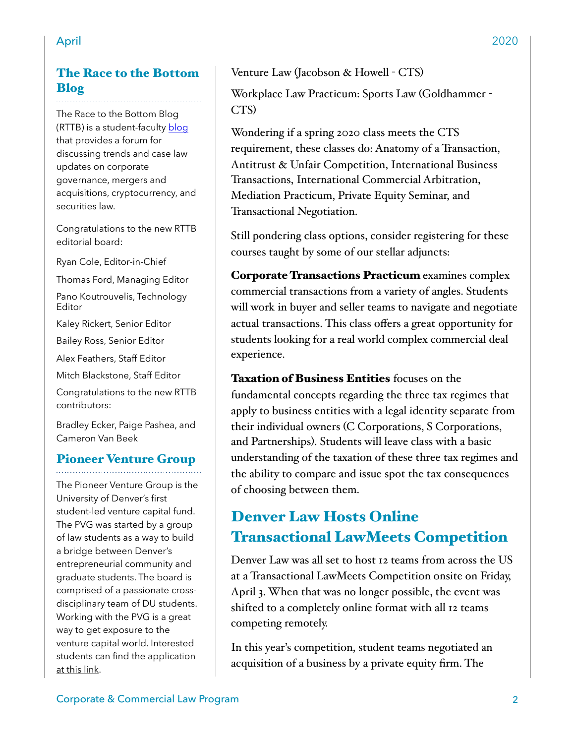#### The Race to the Bottom Blog

The Race to the Bottom Blog (RTTB) is a student-faculty [blog](http://www.theracetothebottom.org/) that provides a forum for discussing trends and case law updates on corporate governance, mergers and acquisitions, cryptocurrency, and securities law.

Congratulations to the new RTTB editorial board:

Ryan Cole, Editor-in-Chief

Thomas Ford, Managing Editor

Pano Koutrouvelis, Technology Editor

Kaley Rickert, Senior Editor

Bailey Ross, Senior Editor

Alex Feathers, Staff Editor

Mitch Blackstone, Staff Editor

Congratulations to the new RTTB contributors:

Bradley Ecker, Paige Pashea, and Cameron Van Beek

## Pioneer Venture Group

The Pioneer Venture Group is the University of Denver's first student-led venture capital fund. The PVG was started by a group of law students as a way to build a bridge between Denver's entrepreneurial community and graduate students. The board is comprised of a passionate crossdisciplinary team of DU students. Working with the PVG is a great way to get exposure to the venture capital world. Interested students can find the application [at this link](https://projectxite.typeform.com/to/ykkgM0).

Venture Law (Jacobson & Howell - CTS)

Workplace Law Practicum: Sports Law (Goldhammer - CTS)

Wondering if a spring 2020 class meets the CTS requirement, these classes do: Anatomy of a Transaction, Antitrust & Unfair Competition, International Business Transactions, International Commercial Arbitration, Mediation Practicum, Private Equity Seminar, and Transactional Negotiation.

Still pondering class options, consider registering for these courses taught by some of our stellar adjuncts:

Corporate Transactions Practicum examines complex commercial transactions from a variety of angles. Students will work in buyer and seller teams to navigate and negotiate actual transactions. This class offers a great opportunity for students looking for a real world complex commercial deal experience.

Taxation of Business Entities focuses on the fundamental concepts regarding the three tax regimes that apply to business entities with a legal identity separate from their individual owners (C Corporations, S Corporations, and Partnerships). Students will leave class with a basic understanding of the taxation of these three tax regimes and the ability to compare and issue spot the tax consequences of choosing between them.

### Denver Law Hosts Online Transactional LawMeets Competition

Denver Law was all set to host 12 teams from across the US at a Transactional LawMeets Competition onsite on Friday, April 3. When that was no longer possible, the event was shifted to a completely online format with all 12 teams competing remotely.

In this year's competition, student teams negotiated an acquisition of a business by a private equity firm. The